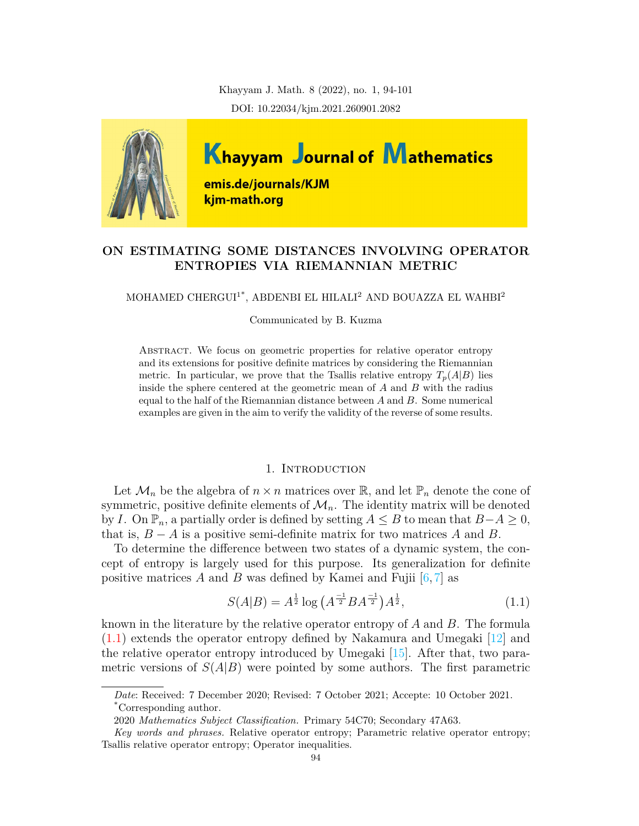Khayyam J. Math. 8 (2022), no. 1, 94-101 DOI: 10.22034/kjm.2021.260901.2082



# **ON ESTIMATING SOME DISTANCES INVOLVING OPERATOR ENTROPIES VIA RIEMANNIAN METRIC**

## MOHAMED CHERGUI<sup>1\*</sup>, ABDENBI EL HILALI<sup>2</sup> AND BOUAZZA EL WAHBI<sup>2</sup>

Communicated by B. Kuzma

Abstract. We focus on geometric properties for relative operator entropy and its extensions for positive definite matrices by considering the Riemannian metric. In particular, we prove that the Tsallis relative entropy  $T_p(A|B)$  lies inside the sphere centered at the geometric mean of *A* and *B* with the radius equal to the half of the Riemannian distance between *A* and *B*. Some numerical examples are given in the aim to verify the validity of the reverse of some results.

#### 1. INTRODUCTION

Let  $\mathcal{M}_n$  be the algebra of  $n \times n$  matrices over  $\mathbb{R}$ , and let  $\mathbb{P}_n$  denote the cone of symmetric, positive definite elements of  $\mathcal{M}_n$ . The identity matrix will be denoted by *I*. On  $\mathbb{P}_n$ , a partially order is defined by setting *A* ≤ *B* to mean that *B*−*A* ≥ 0, that is,  $B - A$  is a positive semi-definite matrix for two matrices A and B.

To determine the difference between two states of a dynamic system, the concept of entropy is largely used for this purpose. Its generalization for definite positive matrices *A* and *B* was defined by Kamei and Fujii  $[6, 7]$  $[6, 7]$  $[6, 7]$  $[6, 7]$  $[6, 7]$  as

<span id="page-0-0"></span>
$$
S(A|B) = A^{\frac{1}{2}} \log \left( A^{\frac{-1}{2}} B A^{\frac{-1}{2}} \right) A^{\frac{1}{2}},\tag{1.1}
$$

known in the literature by the relative operator entropy of *A* and *B*. The formula ([1.1\)](#page-0-0) extends the operator entropy defined by Nakamura and Umegaki [\[12\]](#page-7-2) and the relative operator entropy introduced by Umegaki [\[15\]](#page-7-3). After that, two parametric versions of  $S(A|B)$  were pointed by some authors. The first parametric

*Date*: Received: 7 December 2020; Revised: 7 October 2021; Accepte: 10 October 2021. \*Corresponding author.

<sup>2020</sup> *Mathematics Subject Classification.* Primary 54C70; Secondary 47A63.

*Key words and phrases.* Relative operator entropy; Parametric relative operator entropy; Tsallis relative operator entropy; Operator inequalities.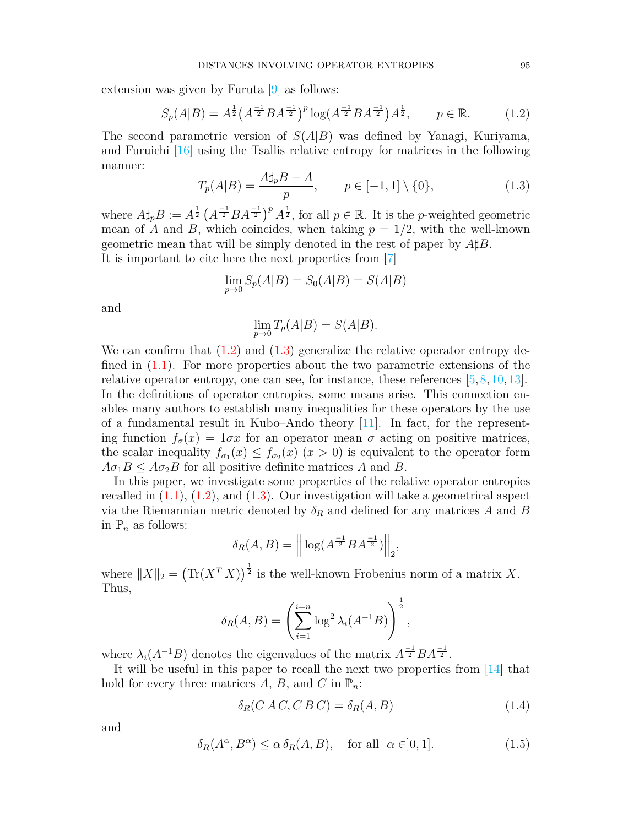extension was given by Furuta [\[9\]](#page-7-4) as follows:

<span id="page-1-0"></span>
$$
S_p(A|B) = A^{\frac{1}{2}} \left(A^{-\frac{1}{2}} B A^{-\frac{1}{2}}\right)^p \log\left(A^{-\frac{1}{2}} B A^{-\frac{1}{2}}\right) A^{\frac{1}{2}}, \qquad p \in \mathbb{R}.\tag{1.2}
$$

The second parametric version of *S*(*A|B*) was defined by Yanagi, Kuriyama, and Furuichi [\[16\]](#page-7-5) using the Tsallis relative entropy for matrices in the following manner:

<span id="page-1-1"></span>
$$
T_p(A|B) = \frac{A\sharp_p B - A}{p}, \qquad p \in [-1, 1] \setminus \{0\},\tag{1.3}
$$

where  $A \sharp_p B := A^{\frac{1}{2}} (A^{-1}B A^{-1})^p A^{\frac{1}{2}}$ , for all  $p \in \mathbb{R}$ . It is the *p*-weighted geometric mean of *A* and *B*, which coincides, when taking  $p = 1/2$ , with the well-known geometric mean that will be simply denoted in the rest of paper by *A♯B*. It is important to cite here the next properties from [\[7\]](#page-7-1)

$$
\lim_{p \to 0} S_p(A|B) = S_0(A|B) = S(A|B)
$$

and

$$
\lim_{p \to 0} T_p(A|B) = S(A|B).
$$

We can confirm that  $(1.2)$  $(1.2)$  and  $(1.3)$  $(1.3)$  generalize the relative operator entropy defined in [\(1.1](#page-0-0)). For more properties about the two parametric extensions of the relative operator entropy, one can see, for instance, these references [[5](#page-7-6), [8](#page-7-7), [10,](#page-7-8) [13](#page-7-9)]. In the definitions of operator entropies, some means arise. This connection enables many authors to establish many inequalities for these operators by the use of a fundamental result in Kubo–Ando theory [\[11](#page-7-10)]. In fact, for the representing function  $f_{\sigma}(x) = 1 \sigma x$  for an operator mean  $\sigma$  acting on positive matrices, the scalar inequality  $f_{\sigma_1}(x) \leq f_{\sigma_2}(x)$  ( $x > 0$ ) is equivalent to the operator form  $A\sigma_1B \leq A\sigma_2B$  for all positive definite matrices *A* and *B*.

In this paper, we investigate some properties of the relative operator entropies recalled in  $(1.1)$  $(1.1)$ ,  $(1.2)$  $(1.2)$  $(1.2)$ , and  $(1.3)$  $(1.3)$ . Our investigation will take a geometrical aspect via the Riemannian metric denoted by  $\delta_R$  and defined for any matrices A and B in  $\mathbb{P}_n$  as follows:

$$
\delta_R(A, B) = \left\| \log(A^{\frac{-1}{2}} B A^{\frac{-1}{2}}) \right\|_2
$$

where  $||X||_2 = (\text{Tr}(X^T X))^{\frac{1}{2}}$  is the well-known Frobenius norm of a matrix X. Thus,

$$
\delta_R(A, B) = \left(\sum_{i=1}^{i=n} \log^2 \lambda_i(A^{-1}B)\right)^{\frac{1}{2}},
$$

where  $\lambda_i(A^{-1}B)$  denotes the eigenvalues of the matrix  $A^{-1}B A^{-1}$ .

It will be useful in this paper to recall the next two properties from [[14](#page-7-11)] that hold for every three matrices  $A, B$ , and  $C$  in  $\mathbb{P}_n$ :

<span id="page-1-2"></span>
$$
\delta_R(CAC, CBC) = \delta_R(A, B) \tag{1.4}
$$

*,*

and

<span id="page-1-3"></span>
$$
\delta_R(A^{\alpha}, B^{\alpha}) \le \alpha \delta_R(A, B), \quad \text{for all} \ \alpha \in ]0, 1]. \tag{1.5}
$$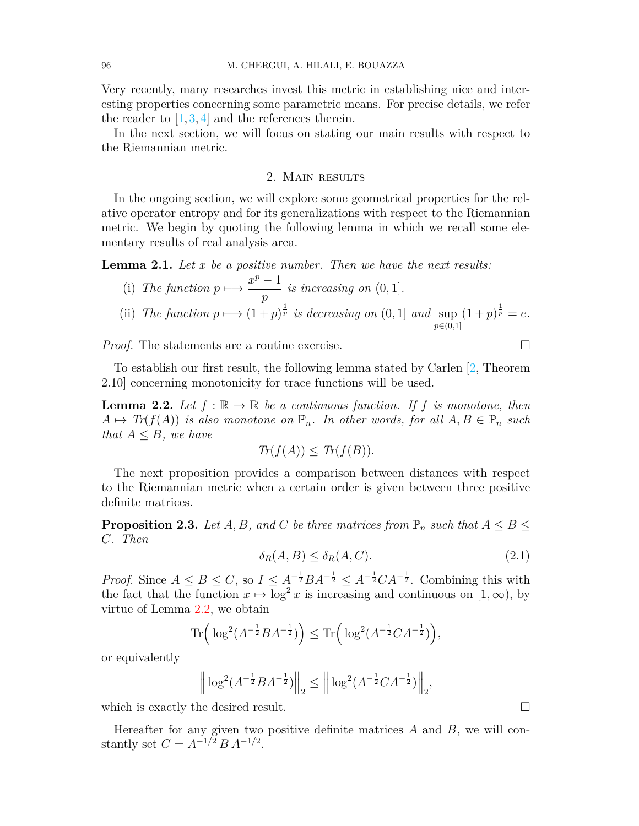Very recently, many researches invest this metric in establishing nice and interesting properties concerning some parametric means. For precise details, we refer the reader to  $[1,3,4]$  $[1,3,4]$  $[1,3,4]$  $[1,3,4]$  $[1,3,4]$  and the references therein.

In the next section, we will focus on stating our main results with respect to the Riemannian metric.

## 2. Main results

In the ongoing section, we will explore some geometrical properties for the relative operator entropy and for its generalizations with respect to the Riemannian metric. We begin by quoting the following lemma in which we recall some elementary results of real analysis area.

<span id="page-2-2"></span>**Lemma 2.1.** *Let x be a positive number. Then we have the next results:*

(i) The function 
$$
p \mapsto \frac{x^p - 1}{p}
$$
 is increasing on (0, 1].  
\n(ii) The function  $p \mapsto (1 + p)^{\frac{1}{p}}$  is decreasing on (0, 1] and  $\sup_{p \in (0,1]} (1 + p)^{\frac{1}{p}} = e$ .

*Proof.* The statements are a routine exercise. □

To establish our first result, the following lemma stated by Carlen [\[2](#page-7-15), Theorem 2.10] concerning monotonicity for trace functions will be used.

<span id="page-2-0"></span>**Lemma 2.2.** Let  $f : \mathbb{R} \to \mathbb{R}$  be a continuous function. If f is monotone, then  $A \mapsto \text{Tr}(f(A))$  *is also monotone on*  $\mathbb{P}_n$ *. In other words, for all*  $A, B \in \mathbb{P}_n$  *such that*  $A \leq B$ *, we have* 

$$
Tr(f(A)) \leq Tr(f(B)).
$$

The next proposition provides a comparison between distances with respect to the Riemannian metric when a certain order is given between three positive definite matrices.

<span id="page-2-1"></span>**Proposition 2.3.** *Let A, B, and C be three matrices from*  $\mathbb{P}_n$  *such that*  $A \leq B \leq$ *C. Then*

$$
\delta_R(A, B) \le \delta_R(A, C). \tag{2.1}
$$

*Proof.* Since  $A \leq B \leq C$ , so  $I \leq A^{-\frac{1}{2}}BA^{-\frac{1}{2}} \leq A^{-\frac{1}{2}}CA^{-\frac{1}{2}}$ . Combining this with the fact that the function  $x \mapsto \log^2 x$  is increasing and continuous on  $[1, \infty)$ , by virtue of Lemma [2.2](#page-2-0), we obtain

$$
\text{Tr}\Big(\log^2(A^{-\frac{1}{2}}BA^{-\frac{1}{2}})\Big) \leq \text{Tr}\Big(\log^2(A^{-\frac{1}{2}}CA^{-\frac{1}{2}})\Big),
$$

or equivalently

$$
\left\| \log^2(A^{-\frac{1}{2}}BA^{-\frac{1}{2}}) \right\|_2 \le \left\| \log^2(A^{-\frac{1}{2}}CA^{-\frac{1}{2}}) \right\|_2,
$$

which is exactly the desired result.  $\Box$ 

Hereafter for any given two positive definite matrices *A* and *B*, we will constantly set  $C = A^{-1/2} B A^{-1/2}$ .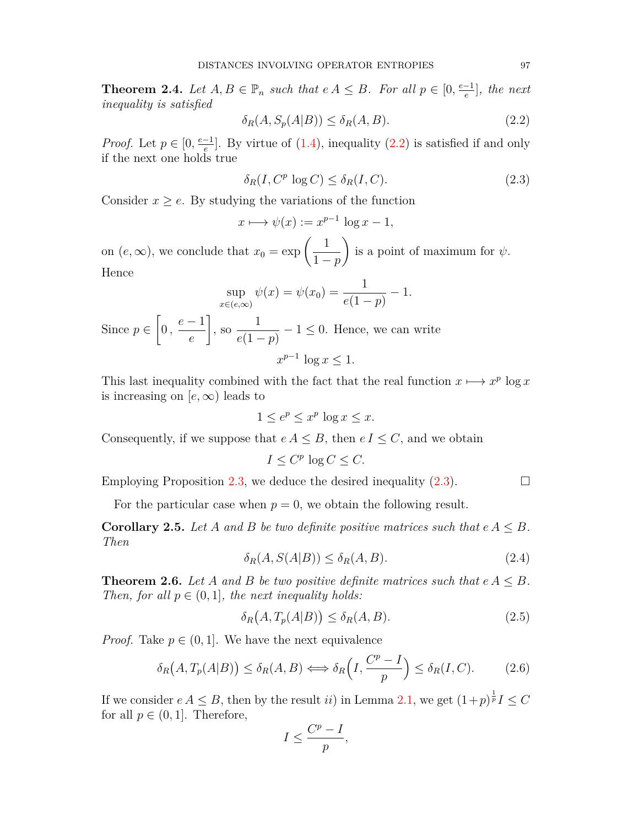<span id="page-3-3"></span>**Theorem 2.4.** *Let*  $A, B \in \mathbb{P}_n$  *such that*  $e A \leq B$ *. For all*  $p \in [0, \frac{e-1}{e}]$ *, the next inequality is satisfied*

<span id="page-3-0"></span>
$$
\delta_R(A, S_p(A|B)) \le \delta_R(A, B). \tag{2.2}
$$

*Proof.* Let  $p \in [0, \frac{e-1}{e}]$ . By virtue of  $(1.4)$ , inequality  $(2.2)$  $(2.2)$  is satisfied if and only if the next one holds true

<span id="page-3-1"></span>
$$
\delta_R(I, C^p \log C) \le \delta_R(I, C). \tag{2.3}
$$

Consider  $x \geq e$ . By studying the variations of the function

$$
x \longmapsto \psi(x) := x^{p-1} \log x - 1,
$$

on  $(e, \infty)$ , we conclude that  $x_0 = \exp\left(\frac{1}{1 - e^{-\frac{1}{2}}}\right)$ 1 *− p*  $\overline{ }$ is a point of maximum for *ψ*.

Hence

$$
\sup_{x \in (e,\infty)} \psi(x) = \psi(x_0) = \frac{1}{e(1-p)} - 1.
$$

Since *p ∈*  $\sqrt{ }$  $0, \frac{e-1}{e}$ *e* 1  $, so \frac{1}{\sqrt{1}}$ *e*(1 *− p*) *−* 1 ≤ 0. Hence, we can write  $x^{p-1} \log x \leq 1$ .

This last inequality combined with the fact that the real function  $x \mapsto x^p \log x$ is increasing on  $[e, \infty)$  leads to

$$
1 \le e^p \le x^p \log x \le x.
$$

Consequently, if we suppose that  $e A \leq B$ , then  $e I \leq C$ , and we obtain

$$
I \leq C^p \log C \leq C.
$$

Employing Proposition [2.3,](#page-2-1) we deduce the desired inequality  $(2.3)$  $(2.3)$ .  $\Box$ 

For the particular case when  $p = 0$ , we obtain the following result.

**Corollary 2.5.** Let A and B be two definite positive matrices such that  $e A \leq B$ . *Then*

<span id="page-3-5"></span>
$$
\delta_R(A, S(A|B)) \le \delta_R(A, B). \tag{2.4}
$$

<span id="page-3-4"></span>**Theorem 2.6.** Let A and B be two positive definite matrices such that  $e A \leq B$ . *Then, for all*  $p \in (0, 1]$ *, the next inequality holds:* 

<span id="page-3-6"></span>
$$
\delta_R(A, T_p(A|B)) \le \delta_R(A, B). \tag{2.5}
$$

*Proof.* Take  $p \in (0, 1]$ . We have the next equivalence

<span id="page-3-2"></span>
$$
\delta_R(A, T_p(A|B)) \le \delta_R(A, B) \Longleftrightarrow \delta_R\left(I, \frac{C^p - I}{p}\right) \le \delta_R(I, C). \tag{2.6}
$$

If we consider  $e A \leq B$ , then by the result *ii*) in Lemma [2.1,](#page-2-2) we get  $(1+p)^{\frac{1}{p}}I \leq C$ for all  $p \in (0, 1]$ . Therefore,

$$
I \le \frac{C^p - I}{p},
$$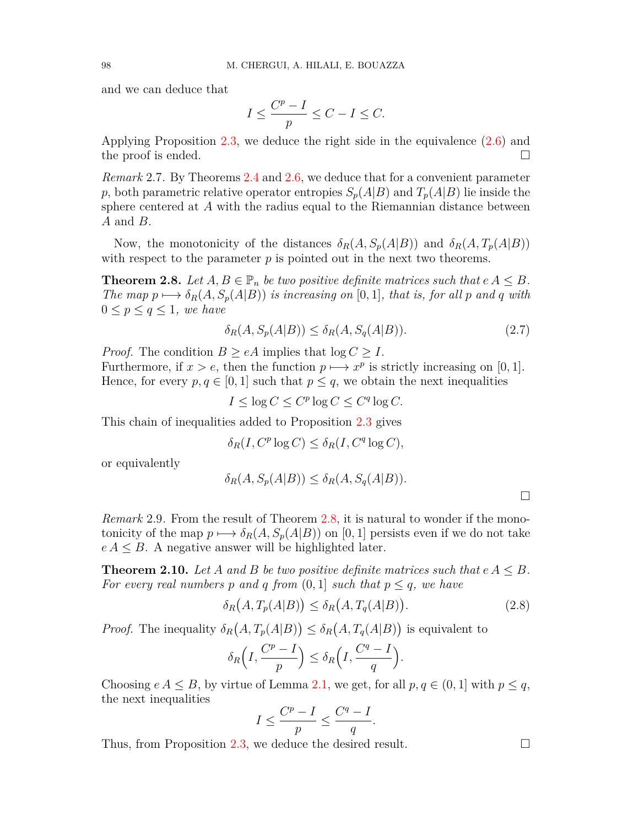and we can deduce that

$$
I \le \frac{C^p - I}{p} \le C - I \le C.
$$

Applying Proposition [2.3,](#page-2-1) we deduce the right side in the equivalence ([2.6\)](#page-3-2) and the proof is ended.  $\Box$ 

*Remark* 2.7*.* By Theorems [2.4](#page-3-3) and [2.6](#page-3-4), we deduce that for a convenient parameter *p*, both parametric relative operator entropies  $S_p(A|B)$  and  $T_p(A|B)$  lie inside the sphere centered at *A* with the radius equal to the Riemannian distance between *A* and *B*.

Now, the monotonicity of the distances  $\delta_R(A, S_p(A|B))$  and  $\delta_R(A, T_p(A|B))$ with respect to the parameter  $p$  is pointed out in the next two theorems.

<span id="page-4-0"></span>**Theorem 2.8.** Let  $A, B \in \mathbb{P}_n$  be two positive definite matrices such that  $e A \leq B$ . *The map*  $p \mapsto \delta_R(A, S_p(A|B))$  *is increasing on* [0,1]*, that is, for all p and q with* 0 ≤  $p$  ≤  $q$  ≤ 1*, we have* 

<span id="page-4-1"></span>
$$
\delta_R(A, S_p(A|B)) \le \delta_R(A, S_q(A|B)).\tag{2.7}
$$

*Proof.* The condition  $B \geq eA$  implies that  $\log C \geq I$ .

Furthermore, if  $x > e$ , then the function  $p \mapsto x^p$  is strictly increasing on [0, 1]. Hence, for every  $p, q \in [0, 1]$  such that  $p \leq q$ , we obtain the next inequalities

 $I \leq \log C \leq C^p \log C \leq C^q \log C$ .

This chain of inequalities added to Proposition [2.3](#page-2-1) gives

$$
\delta_R(I, C^p \log C) \le \delta_R(I, C^q \log C),
$$

or equivalently

$$
\delta_R(A, S_p(A|B)) \le \delta_R(A, S_q(A|B)).
$$

□

*Remark* 2.9*.* From the result of Theorem [2.8,](#page-4-0) it is natural to wonder if the monotonicity of the map  $p \mapsto \delta_R(A, S_p(A|B))$  on [0, 1] persists even if we do not take  $e A \leq B$ . A negative answer will be highlighted later.

**Theorem 2.10.** Let A and B be two positive definite matrices such that  $e A \leq B$ . *For every real numbers p* and *q* from  $(0, 1]$  *such that*  $p \leq q$ *, we have* 

<span id="page-4-2"></span>
$$
\delta_R(A, T_p(A|B)) \le \delta_R(A, T_q(A|B)). \tag{2.8}
$$

*Proof.* The inequality  $\delta_R(A, T_p(A|B)) \leq \delta_R(A, T_q(A|B))$  is equivalent to

$$
\delta_R\left(I, \frac{C^p - I}{p}\right) \le \delta_R\left(I, \frac{C^q - I}{q}\right).
$$

Choosing  $e A \leq B$ , by virtue of Lemma [2.1,](#page-2-2) we get, for all  $p, q \in (0, 1]$  with  $p \leq q$ , the next inequalities

$$
I \le \frac{C^p - I}{p} \le \frac{C^q - I}{q}.
$$

Thus, from Proposition [2.3,](#page-2-1) we deduce the desired result.  $\Box$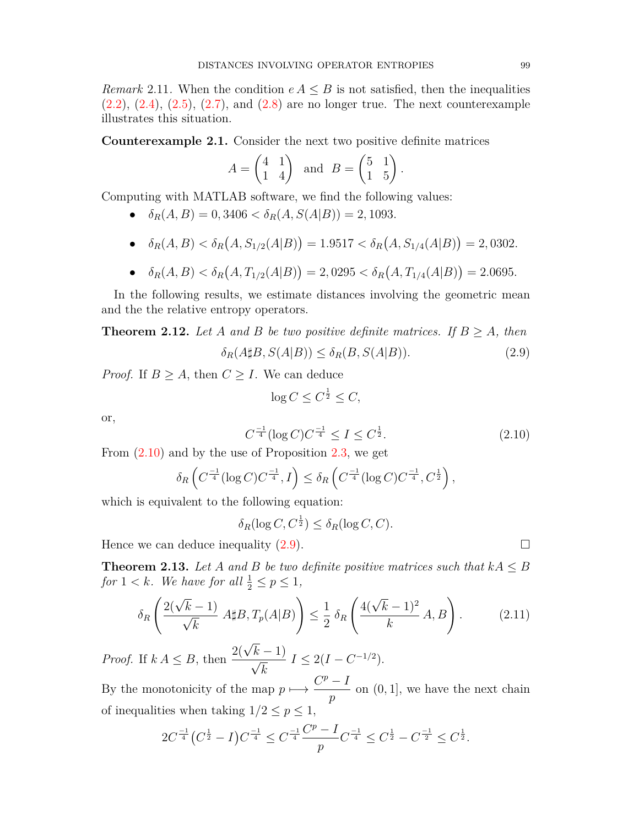*Remark* 2.11. When the condition  $e A \leq B$  is not satisfied, then the inequalities  $(2.2), (2.4), (2.5), (2.7),$  $(2.2), (2.4), (2.5), (2.7),$  $(2.2), (2.4), (2.5), (2.7),$  $(2.2), (2.4), (2.5), (2.7),$  $(2.2), (2.4), (2.5), (2.7),$  $(2.2), (2.4), (2.5), (2.7),$  $(2.2), (2.4), (2.5), (2.7),$  $(2.2), (2.4), (2.5), (2.7),$  $(2.2), (2.4), (2.5), (2.7),$  and  $(2.8)$  $(2.8)$  are no longer true. The next counterexample illustrates this situation.

**Counterexample 2.1.** Consider the next two positive definite matrices

$$
A = \begin{pmatrix} 4 & 1 \\ 1 & 4 \end{pmatrix} \text{ and } B = \begin{pmatrix} 5 & 1 \\ 1 & 5 \end{pmatrix}.
$$

Computing with MATLAB software, we find the following values:

- $\delta_R(A, B) = 0,3406 < \delta_R(A, S(A|B)) = 2,1093.$
- $\bullet$   $\delta_R(A, B) < \delta_R(A, S_{1/2}(A|B)) = 1.9517 < \delta_R(A, S_{1/4}(A|B)) = 2,0302.$
- $\bullet$   $\delta_R(A, B) < \delta_R(A, T_{1/2}(A|B)) = 2,0295 < \delta_R(A, T_{1/4}(A|B)) = 2.0695.$

In the following results, we estimate distances involving the geometric mean and the the relative entropy operators.

**Theorem 2.12.** Let *A* and *B* be two positive definite matrices. If  $B \geq A$ , then

<span id="page-5-1"></span>
$$
\delta_R(A \sharp B, S(A|B)) \le \delta_R(B, S(A|B)). \tag{2.9}
$$

*Proof.* If  $B \geq A$ , then  $C \geq I$ . We can deduce

$$
\log C \le C^{\frac{1}{2}} \le C,
$$

or,

<span id="page-5-0"></span>
$$
C^{\frac{-1}{4}}(\log C)C^{\frac{-1}{4}} \le I \le C^{\frac{1}{2}}.
$$
\n(2.10)

From [\(2.10](#page-5-0)) and by the use of Proposition [2.3](#page-2-1), we get

$$
\delta_R\left(C^{\frac{-1}{4}}(\log C)C^{\frac{-1}{4}},I\right) \leq \delta_R\left(C^{\frac{-1}{4}}(\log C)C^{\frac{-1}{4}},C^{\frac{1}{2}}\right),
$$

which is equivalent to the following equation:

 $\delta_R(\log C, C^{\frac{1}{2}}) \leq \delta_R(\log C, C)$ .

Hence we can deduce inequality  $(2.9)$  $(2.9)$ .  $\Box$ 

**Theorem 2.13.** Let *A* and *B* be two definite positive matrices such that  $kA \leq B$ for  $1 < k$ *. We have for all*  $\frac{1}{2} \le p \le 1$ *,* 

<span id="page-5-2"></span>
$$
\delta_R \left( \frac{2(\sqrt{k} - 1)}{\sqrt{k}} A \sharp B, T_p(A|B) \right) \le \frac{1}{2} \delta_R \left( \frac{4(\sqrt{k} - 1)^2}{k} A, B \right). \tag{2.11}
$$

*Proof.* If  $k A \leq B$ , then  $\frac{2(\sqrt{a})}{2}$ *k −* 1) *√ k*  $I \leq 2(I - C^{-1/2}).$ 

By the monotonicity of the map  $p \mapsto \frac{C^p - I}{\cdot}$ *p* on (0*,* 1], we have the next chain of inequalities when taking  $1/2 \leq p \leq 1$ ,

$$
2C^{\frac{-1}{4}}(C^{\frac{1}{2}}-I)C^{\frac{-1}{4}} \leq C^{\frac{-1}{4}}\frac{C^p-I}{p}C^{\frac{-1}{4}} \leq C^{\frac{1}{2}}-C^{\frac{-1}{2}} \leq C^{\frac{1}{2}}.
$$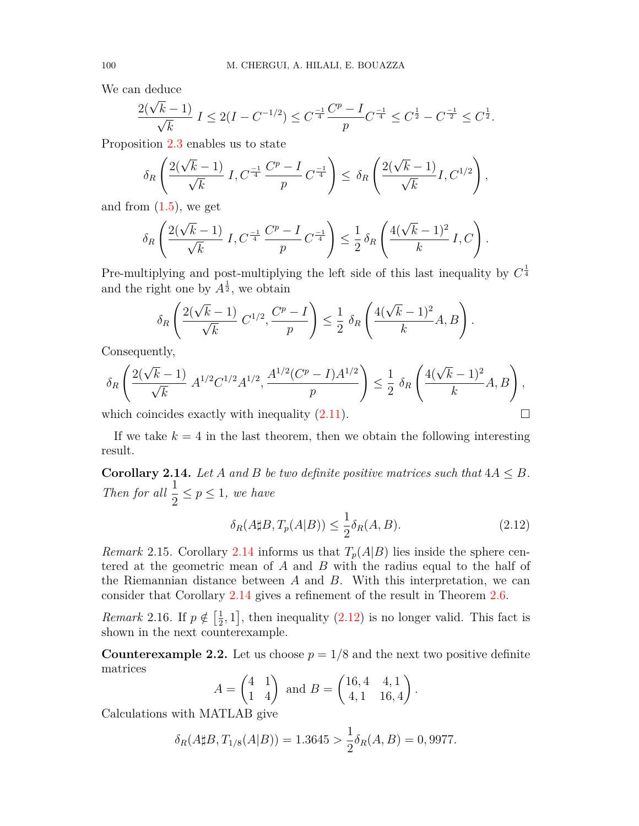We can deduce

$$
\frac{2(\sqrt{k}-1)}{\sqrt{k}} I \le 2(I-C^{-1/2}) \le C^{\frac{-1}{4}} \frac{C^p - I}{p} C^{\frac{-1}{4}} \le C^{\frac{1}{2}} - C^{\frac{-1}{2}} \le C^{\frac{1}{2}}.
$$

Proposition [2.3](#page-2-1) enables us to state

$$
\delta_R\left(\frac{2(\sqrt{k}-1)}{\sqrt{k}} I, C^{\frac{-1}{4}} \frac{C^p - I}{p} C^{\frac{-1}{4}}\right) \leq \delta_R\left(\frac{2(\sqrt{k}-1)}{\sqrt{k}} I, C^{1/2}\right),
$$

and from  $(1.5)$  $(1.5)$ , we get

$$
\delta_R\left(\frac{2(\sqrt{k}-1)}{\sqrt{k}} I, C^{\frac{-1}{4}} \frac{C^p - I}{p} C^{\frac{-1}{4}} \right) \leq \frac{1}{2} \delta_R\left(\frac{4(\sqrt{k}-1)^2}{k} I, C\right).
$$

Pre-multiplying and post-multiplying the left side of this last inequality by  $C^{\frac{1}{4}}$ and the right one by  $A^{\frac{1}{2}}$ , we obtain

$$
\delta_R\left(\frac{2(\sqrt{k}-1)}{\sqrt{k}}\;C^{1/2},\frac{C^p-I}{p}\right)\leq \frac{1}{2}\;\delta_R\left(\frac{4(\sqrt{k}-1)^2}{k}A,B\right).
$$

Consequently,

$$
\delta_R\left(\frac{2(\sqrt{k}-1)}{\sqrt{k}}\ A^{1/2}C^{1/2}A^{1/2},\frac{A^{1/2}(C^p-I)A^{1/2}}{p}\right)\leq \frac{1}{2}\ \delta_R\left(\frac{4(\sqrt{k}-1)^2}{k}A,B\right),
$$

which coincides exactly with inequality  $(2.11)$ .  $\Box$ 

If we take  $k = 4$  in the last theorem, then we obtain the following interesting result.

<span id="page-6-0"></span>**Corollary 2.14.** *Let A and B be two definite positive matrices such that*  $4A \leq B$ *. Then for all*  $\frac{1}{2}$  $\frac{1}{2} \leq p \leq 1$ , we have

<span id="page-6-1"></span>
$$
\delta_R(A \sharp B, T_p(A|B)) \le \frac{1}{2} \delta_R(A, B). \tag{2.12}
$$

*Remark* 2.15*.* Corollary [2.14](#page-6-0) informs us that  $T_p(A|B)$  lies inside the sphere centered at the geometric mean of *A* and *B* with the radius equal to the half of the Riemannian distance between *A* and *B*. With this interpretation, we can consider that Corollary [2.14](#page-6-0) gives a refinement of the result in Theorem [2.6.](#page-3-4)

*Remark* 2.16*.* If  $p \notin \left[\frac{1}{2}\right]$  $(\frac{1}{2}, 1]$ , then inequality  $(2.12)$  is no longer valid. This fact is shown in the next counterexample.

**Counterexample 2.2.** Let us choose  $p = 1/8$  and the next two positive definite matrices

$$
A = \begin{pmatrix} 4 & 1 \\ 1 & 4 \end{pmatrix} \text{ and } B = \begin{pmatrix} 16, 4 & 4, 1 \\ 4, 1 & 16, 4 \end{pmatrix}.
$$

Calculations with MATLAB give

$$
\delta_R(A \sharp B, T_{1/8}(A|B)) = 1.3645 > \frac{1}{2}\delta_R(A, B) = 0,9977.
$$